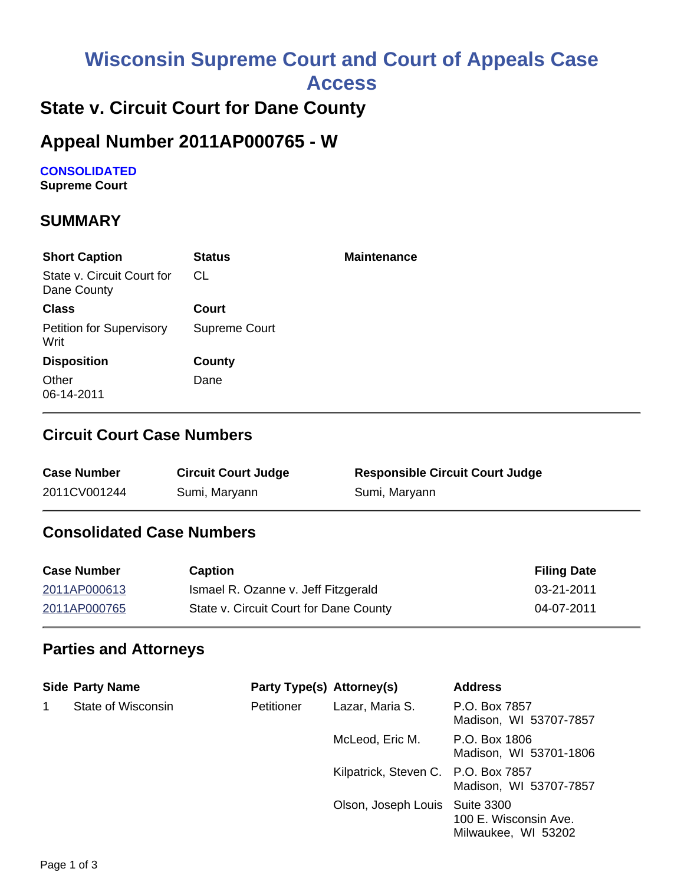# **Wisconsin Supreme Court and Court of Appeals Case**

**Access**

# **State v. Circuit Court for Dane County**

## **Appeal Number 2011AP000765 - W**

**CONSOLIDATED Supreme Court** 

### **SUMMARY**

| <b>Short Caption</b>                      | <b>Status</b> | <b>Maintenance</b> |
|-------------------------------------------|---------------|--------------------|
| State v. Circuit Court for<br>Dane County | CL.           |                    |
| <b>Class</b>                              | Court         |                    |
| <b>Petition for Supervisory</b><br>Writ   | Supreme Court |                    |
| <b>Disposition</b>                        | County        |                    |
| Other<br>06-14-2011                       | Dane          |                    |

#### **Circuit Court Case Numbers**

| <b>Case Number</b> | <b>Circuit Court Judge</b> | <b>Responsible Circuit Court Judge</b> |
|--------------------|----------------------------|----------------------------------------|
| 2011CV001244       | Sumi, Maryann              | Sumi, Maryann                          |

## **Consolidated Case Numbers**

| <b>Case Number</b> | <b>Caption</b>                         | <b>Filing Date</b> |
|--------------------|----------------------------------------|--------------------|
| 2011AP000613       | Ismael R. Ozanne v. Jeff Fitzgerald    | 03-21-2011         |
| 2011AP000765       | State v. Circuit Court for Dane County | 04-07-2011         |

#### **Parties and Attorneys**

|   | <b>Side Party Name</b> | Party Type(s) Attorney(s) |                                     | <b>Address</b>                               |
|---|------------------------|---------------------------|-------------------------------------|----------------------------------------------|
| 1 | State of Wisconsin     | Petitioner                | Lazar, Maria S.                     | P.O. Box 7857<br>Madison, WI 53707-7857      |
|   |                        |                           | McLeod, Eric M.                     | P.O. Box 1806<br>Madison, WI 53701-1806      |
|   |                        |                           | Kilpatrick, Steven C. P.O. Box 7857 | Madison, WI 53707-7857                       |
|   |                        |                           | Olson, Joseph Louis Suite 3300      | 100 E. Wisconsin Ave.<br>Milwaukee, WI 53202 |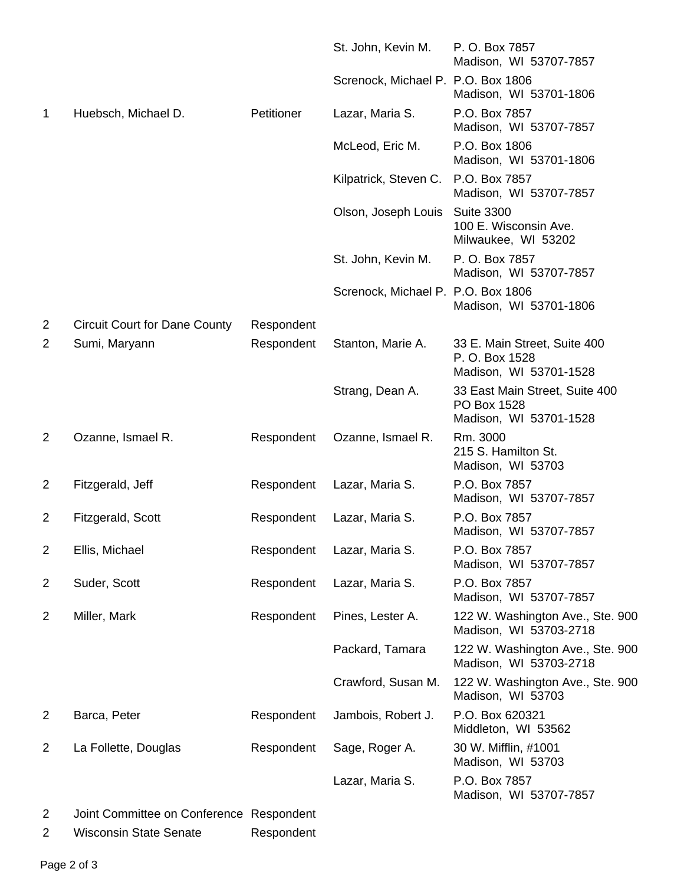|                |                                          |            | St. John, Kevin M.                 | P. O. Box 7857<br>Madison, WI 53707-7857                                 |
|----------------|------------------------------------------|------------|------------------------------------|--------------------------------------------------------------------------|
|                |                                          |            | Screnock, Michael P. P.O. Box 1806 | Madison, WI 53701-1806                                                   |
| 1              | Huebsch, Michael D.                      | Petitioner | Lazar, Maria S.                    | P.O. Box 7857<br>Madison, WI 53707-7857                                  |
|                |                                          |            | McLeod, Eric M.                    | P.O. Box 1806<br>Madison, WI 53701-1806                                  |
|                |                                          |            | Kilpatrick, Steven C.              | P.O. Box 7857<br>Madison, WI 53707-7857                                  |
|                |                                          |            | Olson, Joseph Louis                | <b>Suite 3300</b><br>100 E. Wisconsin Ave.<br>Milwaukee, WI 53202        |
|                |                                          |            | St. John, Kevin M.                 | P. O. Box 7857<br>Madison, WI 53707-7857                                 |
|                |                                          |            | Screnock, Michael P. P.O. Box 1806 | Madison, WI 53701-1806                                                   |
| 2              | <b>Circuit Court for Dane County</b>     | Respondent |                                    |                                                                          |
| 2              | Sumi, Maryann                            | Respondent | Stanton, Marie A.                  | 33 E. Main Street, Suite 400<br>P. O. Box 1528<br>Madison, WI 53701-1528 |
|                |                                          |            | Strang, Dean A.                    | 33 East Main Street, Suite 400<br>PO Box 1528<br>Madison, WI 53701-1528  |
| 2              | Ozanne, Ismael R.                        | Respondent | Ozanne, Ismael R.                  | Rm. 3000<br>215 S. Hamilton St.<br>Madison, WI 53703                     |
| 2              | Fitzgerald, Jeff                         | Respondent | Lazar, Maria S.                    | P.O. Box 7857<br>Madison, WI 53707-7857                                  |
| 2              | Fitzgerald, Scott                        | Respondent | Lazar, Maria S.                    | P.O. Box 7857<br>Madison, WI 53707-7857                                  |
| 2              | Ellis, Michael                           | Respondent | Lazar, Maria S.                    | P.O. Box 7857<br>Madison, WI 53707-7857                                  |
| $\overline{2}$ | Suder, Scott                             | Respondent | Lazar, Maria S.                    | P.O. Box 7857<br>Madison, WI 53707-7857                                  |
| 2              | Miller, Mark                             | Respondent | Pines, Lester A.                   | 122 W. Washington Ave., Ste. 900<br>Madison, WI 53703-2718               |
|                |                                          |            | Packard, Tamara                    | 122 W. Washington Ave., Ste. 900<br>Madison, WI 53703-2718               |
|                |                                          |            | Crawford, Susan M.                 | 122 W. Washington Ave., Ste. 900<br>Madison, WI 53703                    |
| 2              | Barca, Peter                             | Respondent | Jambois, Robert J.                 | P.O. Box 620321<br>Middleton, WI 53562                                   |
| 2              | La Follette, Douglas                     | Respondent | Sage, Roger A.                     | 30 W. Mifflin, #1001<br>Madison, WI 53703                                |
|                |                                          |            | Lazar, Maria S.                    | P.O. Box 7857<br>Madison, WI 53707-7857                                  |
| 2              | Joint Committee on Conference Respondent |            |                                    |                                                                          |

2 Wisconsin State Senate Respondent